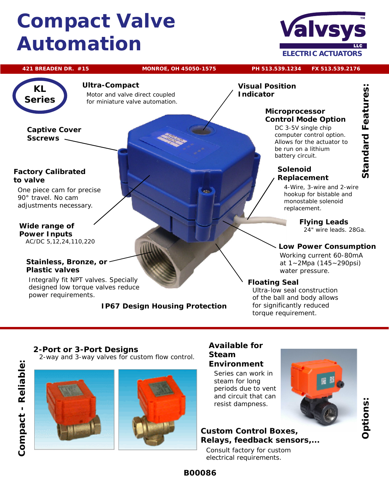## *Compact Valve Automation*



#### **421 BREADEN DR. #15 MONROE, OH 45050-1575 PH 513.539.1234 FX 513.539.2176**



#### **Ultra-Compact**

Motor and valve direct coupled for miniature valve automation.

#### **Captive Cover Sscrews**

#### **Factory Calibrated to valve**

One piece cam for precise 90° travel. No cam adjustments necessary.

**Wide range of Power Inputs** AC/DC 5,12,24,110,220

#### **Stainless, Bronze, or Plastic valves**

Integrally fit NPT valves. Specially designed low torque valves reduce power requirements.

#### **IP67 Design Housing Protection**

**Visual Position Indicator**

#### **Microprocessor Control Mode Option**

DC 3-5V single chip computer control option. Allows for the actuator to be run on a lithium battery circuit.

#### **Solenoid Replacement**

4-Wire, 3-wire and 2-wire hookup for bistable and monostable solenoid replacement.

> **Flying Leads** 24" wire leads. 28Ga.

*Standard Features:*

**Standard Features:** 

#### **Low Power Consumption**

Working current 60-80mA at 1~2Mpa (145~290psi) water pressure.

#### **Floating Seal**

Ultra-low seal construction of the ball and body allows for significantly reduced torque requirement.

### **2-Port or 3-Port Designs**

2-way and 3-way valves for custom flow control.



#### **Available for Steam Environment**

Series can work in steam for long periods due to vent and circuit that can resist dampness.

**Custom Control Boxes, Relays, feedback sensors,...**

Consult factory for custom electrical requirements.